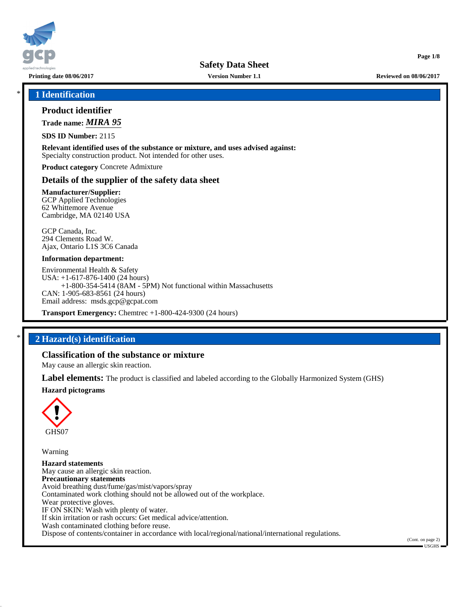

**Printing date 08/06/2017 Version Number 1.1 Reviewed on 08/06/2017**

**Page 1/8**

\* **1 Identification**

# **Product identifier**

**Trade name:** *MIRA 95*

**SDS ID Number:** 2115

**Relevant identified uses of the substance or mixture, and uses advised against:** Specialty construction product. Not intended for other uses.

**Product category** Concrete Admixture

## **Details of the supplier of the safety data sheet**

**Manufacturer/Supplier:** GCP Applied Technologies 62 Whittemore Avenue Cambridge, MA 02140 USA

GCP Canada, Inc. 294 Clements Road W. Ajax, Ontario L1S 3C6 Canada

#### **Information department:**

Environmental Health & Safety USA: +1-617-876-1400 (24 hours) +1-800-354-5414 (8AM - 5PM) Not functional within Massachusetts CAN: 1-905-683-8561 (24 hours) Email address: msds.gcp@gcpat.com

**Transport Emergency:** Chemtrec +1-800-424-9300 (24 hours)

# \* **2 Hazard(s) identification**

## **Classification of the substance or mixture**

May cause an allergic skin reaction.

**Label elements:** The product is classified and labeled according to the Globally Harmonized System (GHS)

## **Hazard pictograms**



Warning

**Hazard statements** May cause an allergic skin reaction. **Precautionary statements** Avoid breathing dust/fume/gas/mist/vapors/spray Contaminated work clothing should not be allowed out of the workplace. Wear protective gloves. IF ON SKIN: Wash with plenty of water. If skin irritation or rash occurs: Get medical advice/attention. Wash contaminated clothing before reuse. Dispose of contents/container in accordance with local/regional/national/international regulations.

(Cont. on page 2) USGHS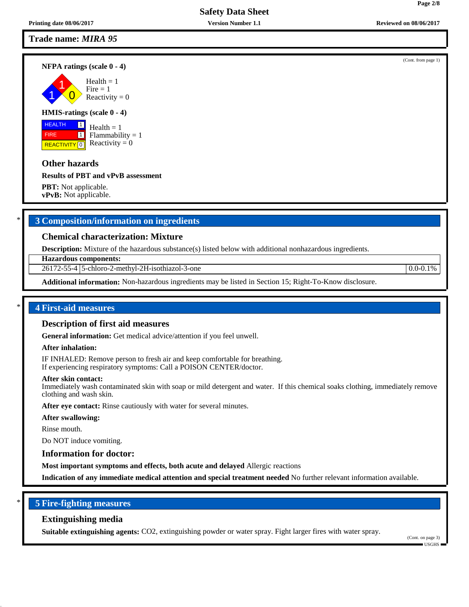## **Trade name:** *MIRA 95*

#### **NFPA ratings (scale 0 - 4)**

1 1  $\overline{\mathbf{0}}$  $Health = 1$  $Fire = 1$ Reactivity  $= 0$ 

#### **HMIS-ratings (scale 0 - 4)**

 HEALTH FIRE **REACTIVITY** 0  $\boxed{1}$  $\boxed{1}$ 

 $Health = 1$ Flammability  $= 1$ Reactivity  $= 0$ 

## **Other hazards**

#### **Results of PBT and vPvB assessment**

**PBT:** Not applicable. **vPvB:** Not applicable.

# \* **3 Composition/information on ingredients**

## **Chemical characterization: Mixture**

**Description:** Mixture of the hazardous substance(s) listed below with additional nonhazardous ingredients.

**Hazardous components:**

26172-55-4 5-chloro-2-methyl-2H-isothiazol-3-one 0.0-0.1%

**Additional information:** Non-hazardous ingredients may be listed in Section 15; Right-To-Know disclosure.

#### \* **4 First-aid measures**

#### **Description of first aid measures**

**General information:** Get medical advice/attention if you feel unwell.

#### **After inhalation:**

IF INHALED: Remove person to fresh air and keep comfortable for breathing. If experiencing respiratory symptoms: Call a POISON CENTER/doctor.

#### **After skin contact:**

Immediately wash contaminated skin with soap or mild detergent and water. If this chemical soaks clothing, immediately remove clothing and wash skin.

**After eye contact:** Rinse cautiously with water for several minutes.

**After swallowing:**

Rinse mouth.

Do NOT induce vomiting.

#### **Information for doctor:**

**Most important symptoms and effects, both acute and delayed** Allergic reactions

**Indication of any immediate medical attention and special treatment needed** No further relevant information available.

## \* **5 Fire-fighting measures**

#### **Extinguishing media**

**Suitable extinguishing agents:** CO2, extinguishing powder or water spray. Fight larger fires with water spray.

(Cont. on page 3) USGHS

(Cont. from page 1)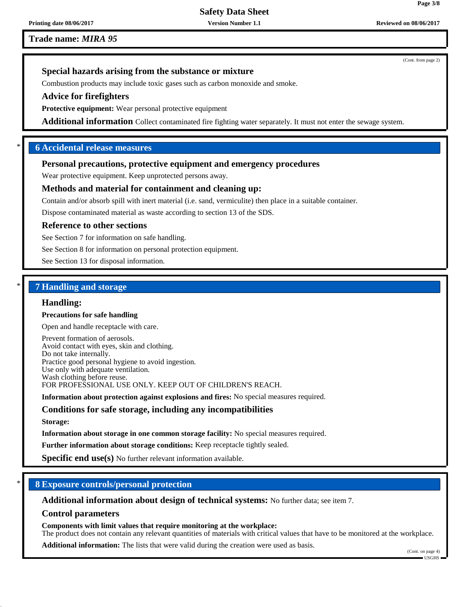**Printing date 08/06/2017 Version Number 1.1 Reviewed on 08/06/2017**

**Trade name:** *MIRA 95*

(Cont. from page 2)

# **Special hazards arising from the substance or mixture**

Combustion products may include toxic gases such as carbon monoxide and smoke.

## **Advice for firefighters**

**Protective equipment:** Wear personal protective equipment

**Additional information** Collect contaminated fire fighting water separately. It must not enter the sewage system.

# \* **6 Accidental release measures**

## **Personal precautions, protective equipment and emergency procedures**

Wear protective equipment. Keep unprotected persons away.

# **Methods and material for containment and cleaning up:**

Contain and/or absorb spill with inert material (i.e. sand, vermiculite) then place in a suitable container.

Dispose contaminated material as waste according to section 13 of the SDS.

## **Reference to other sections**

See Section 7 for information on safe handling.

See Section 8 for information on personal protection equipment.

See Section 13 for disposal information.

# \* **7 Handling and storage**

#### **Handling:**

#### **Precautions for safe handling**

Open and handle receptacle with care.

Prevent formation of aerosols. Avoid contact with eyes, skin and clothing. Do not take internally. Practice good personal hygiene to avoid ingestion. Use only with adequate ventilation. Wash clothing before reuse. FOR PROFESSIONAL USE ONLY. KEEP OUT OF CHILDREN'S REACH.

**Information about protection against explosions and fires:** No special measures required.

## **Conditions for safe storage, including any incompatibilities**

**Storage:**

**Information about storage in one common storage facility:** No special measures required.

**Further information about storage conditions:** Keep receptacle tightly sealed.

**Specific end use(s)** No further relevant information available.

## \* **8 Exposure controls/personal protection**

**Additional information about design of technical systems:** No further data; see item 7.

## **Control parameters**

**Components with limit values that require monitoring at the workplace:**

The product does not contain any relevant quantities of materials with critical values that have to be monitored at the workplace.

**Additional information:** The lists that were valid during the creation were used as basis.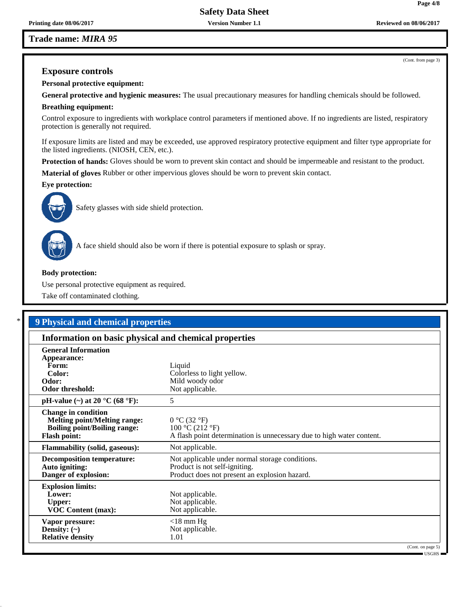## **Trade name:** *MIRA 95*

# **Exposure controls**

**Personal protective equipment:**

**General protective and hygienic measures:** The usual precautionary measures for handling chemicals should be followed.

#### **Breathing equipment:**

Control exposure to ingredients with workplace control parameters if mentioned above. If no ingredients are listed, respiratory protection is generally not required.

If exposure limits are listed and may be exceeded, use approved respiratory protective equipment and filter type appropriate for the listed ingredients. (NIOSH, CEN, etc.).

**Protection of hands:** Gloves should be worn to prevent skin contact and should be impermeable and resistant to the product.

**Material of gloves** Rubber or other impervious gloves should be worn to prevent skin contact.

**Eye protection:**



Safety glasses with side shield protection.



A face shield should also be worn if there is potential exposure to splash or spray.

#### **Body protection:**

Use personal protective equipment as required.

Take off contaminated clothing.

# \* **9 Physical and chemical properties**

| Information on basic physical and chemical properties                                                                           |                                                                                                                                   |                                    |  |  |
|---------------------------------------------------------------------------------------------------------------------------------|-----------------------------------------------------------------------------------------------------------------------------------|------------------------------------|--|--|
| <b>General Information</b><br>Appearance:<br>Form:<br>Color:<br>Odor:<br>Odor threshold:                                        | Liquid<br>Colorless to light yellow.<br>Mild woody odor<br>Not applicable.                                                        |                                    |  |  |
| pH-value $(\sim)$ at 20 °C (68 °F):                                                                                             | 5                                                                                                                                 |                                    |  |  |
| <b>Change in condition</b><br><b>Melting point/Melting range:</b><br><b>Boiling point/Boiling range:</b><br><b>Flash point:</b> | 0 °C (32 °F)<br>100 °C (212 °F)<br>A flash point determination is unnecessary due to high water content.                          |                                    |  |  |
| <b>Flammability (solid, gaseous):</b>                                                                                           | Not applicable.                                                                                                                   |                                    |  |  |
| <b>Decomposition temperature:</b><br>Auto igniting:<br>Danger of explosion:                                                     | Not applicable under normal storage conditions.<br>Product is not self-igniting.<br>Product does not present an explosion hazard. |                                    |  |  |
| <b>Explosion limits:</b><br>Lower:<br><b>Upper:</b><br><b>VOC Content (max):</b>                                                | Not applicable.<br>Not applicable.<br>Not applicable.                                                                             |                                    |  |  |
| Vapor pressure:<br>Density: $(\sim)$<br><b>Relative density</b>                                                                 | $<$ 18 mm Hg<br>Not applicable.<br>1.01                                                                                           |                                    |  |  |
|                                                                                                                                 |                                                                                                                                   | (Cont. on page 5)<br>$-$ HSGHS $-$ |  |  |

**Page 4/8**

(Cont. from page 3)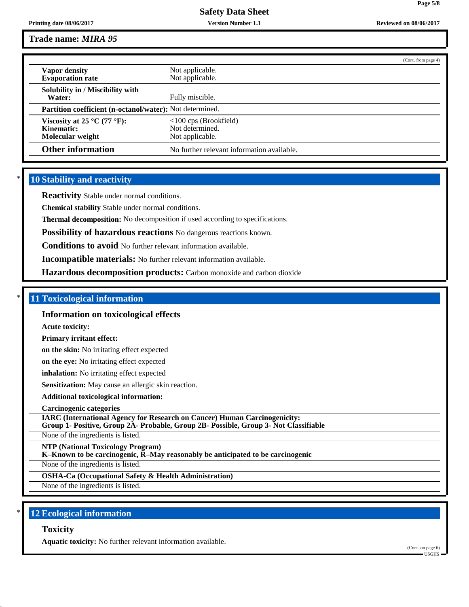# **Trade name:** *MIRA 95*

|                                                                 | (Cont. from page 4)                        |  |  |  |
|-----------------------------------------------------------------|--------------------------------------------|--|--|--|
| Vapor density                                                   | Not applicable.                            |  |  |  |
| <b>Evaporation rate</b>                                         | Not applicable.                            |  |  |  |
| Solubility in / Miscibility with                                |                                            |  |  |  |
| Water:                                                          | Fully miscible.                            |  |  |  |
| <b>Partition coefficient (n-octanol/water):</b> Not determined. |                                            |  |  |  |
| Viscosity at 25 °C (77 °F):                                     | $<100$ cps (Brookfield)                    |  |  |  |
| Kinematic:                                                      | Not determined.                            |  |  |  |
| Molecular weight                                                | Not applicable.                            |  |  |  |
| <b>Other information</b>                                        | No further relevant information available. |  |  |  |

## **10 Stability and reactivity**

**Reactivity** Stable under normal conditions.

**Chemical stability** Stable under normal conditions.

**Thermal decomposition:** No decomposition if used according to specifications.

**Possibility of hazardous reactions** No dangerous reactions known.

**Conditions to avoid** No further relevant information available.

**Incompatible materials:** No further relevant information available.

**Hazardous decomposition products:** Carbon monoxide and carbon dioxide

#### \* **11 Toxicological information**

#### **Information on toxicological effects**

**Acute toxicity:**

**Primary irritant effect:**

**on the skin:** No irritating effect expected

**on the eye:** No irritating effect expected

**inhalation:** No irritating effect expected

**Sensitization:** May cause an allergic skin reaction.

**Additional toxicological information:**

**Carcinogenic categories**

**IARC (International Agency for Research on Cancer) Human Carcinogenicity: Group 1- Positive, Group 2A- Probable, Group 2B- Possible, Group 3- Not Classifiable**

None of the ingredients is listed.

**NTP (National Toxicology Program)**

**K–Known to be carcinogenic, R–May reasonably be anticipated to be carcinogenic**

None of the ingredients is listed.

**OSHA-Ca (Occupational Safety & Health Administration)**

None of the ingredients is listed.

## **12 Ecological information**

#### **Toxicity**

**Aquatic toxicity:** No further relevant information available.

(Cont. on page 6) USGHS

**Page 5/8**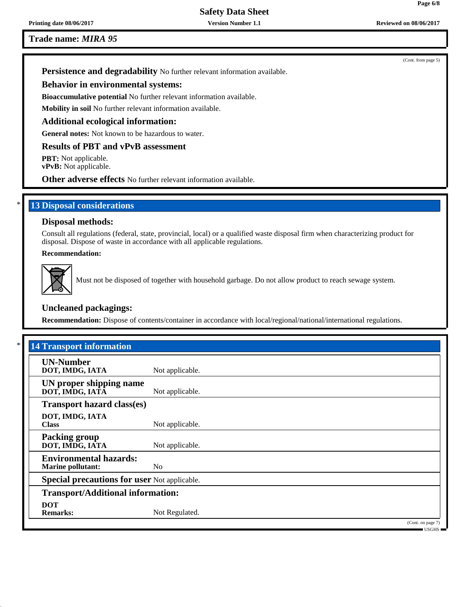**Trade name:** *MIRA 95*

(Cont. from page 5)

**Persistence and degradability** No further relevant information available.

## **Behavior in environmental systems:**

**Bioaccumulative potential** No further relevant information available.

**Mobility in soil** No further relevant information available.

#### **Additional ecological information:**

**General notes:** Not known to be hazardous to water.

## **Results of PBT and vPvB assessment**

**PBT:** Not applicable. **vPvB:** Not applicable.

**Other adverse effects** No further relevant information available.

## **13 Disposal considerations**

## **Disposal methods:**

Consult all regulations (federal, state, provincial, local) or a qualified waste disposal firm when characterizing product for disposal. Dispose of waste in accordance with all applicable regulations.

## **Recommendation:**



Must not be disposed of together with household garbage. Do not allow product to reach sewage system.

#### **Uncleaned packagings:**

**Recommendation:** Dispose of contents/container in accordance with local/regional/national/international regulations.

| <b>14 Transport information</b>                           |                 |                                              |
|-----------------------------------------------------------|-----------------|----------------------------------------------|
| <b>UN-Number</b><br>DOT, IMDG, IATA                       | Not applicable. |                                              |
| UN proper shipping name<br>DOT, IMDG, IATA                | Not applicable. |                                              |
| <b>Transport hazard class(es)</b>                         |                 |                                              |
| DOT, IMDG, IATA<br><b>Class</b>                           | Not applicable. |                                              |
| <b>Packing group</b><br>DOT, IMDG, IATA                   | Not applicable. |                                              |
| <b>Environmental hazards:</b><br><b>Marine pollutant:</b> | N <sub>0</sub>  |                                              |
| <b>Special precautions for user Not applicable.</b>       |                 |                                              |
| <b>Transport/Additional information:</b>                  |                 |                                              |
| <b>DOT</b><br><b>Remarks:</b>                             | Not Regulated.  |                                              |
|                                                           |                 | (Cont. on page 7)<br>$\equiv$ USGHS $\equiv$ |

**Page 6/8**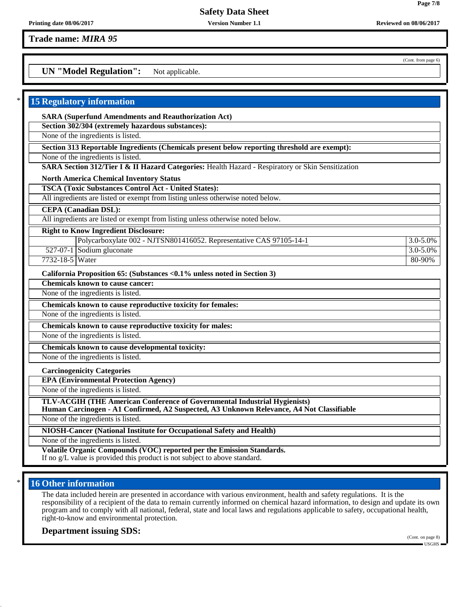**Trade name:** *MIRA 95*

**UN "Model Regulation":** Not applicable.

| <b>15 Regulatory information</b>                                                                                                                                         |          |
|--------------------------------------------------------------------------------------------------------------------------------------------------------------------------|----------|
| <b>SARA (Superfund Amendments and Reauthorization Act)</b>                                                                                                               |          |
| Section 302/304 (extremely hazardous substances):                                                                                                                        |          |
| None of the ingredients is listed.                                                                                                                                       |          |
| Section 313 Reportable Ingredients (Chemicals present below reporting threshold are exempt):                                                                             |          |
| None of the ingredients is listed.                                                                                                                                       |          |
| SARA Section 312/Tier I & II Hazard Categories: Health Hazard - Respiratory or Skin Sensitization                                                                        |          |
| <b>North America Chemical Inventory Status</b>                                                                                                                           |          |
| <b>TSCA (Toxic Substances Control Act - United States):</b>                                                                                                              |          |
| All ingredients are listed or exempt from listing unless otherwise noted below.                                                                                          |          |
| <b>CEPA</b> (Canadian DSL):                                                                                                                                              |          |
| All ingredients are listed or exempt from listing unless otherwise noted below.                                                                                          |          |
| <b>Right to Know Ingredient Disclosure:</b>                                                                                                                              |          |
| Polycarboxylate 002 - NJTSN801416052. Representative CAS 97105-14-1                                                                                                      | 3.0-5.0% |
| 527-07-1 Sodium gluconate                                                                                                                                                | 3.0-5.0% |
| 7732-18-5 Water                                                                                                                                                          | 80-90%   |
| California Proposition 65: (Substances < 0.1% unless noted in Section 3)                                                                                                 |          |
| <b>Chemicals known to cause cancer:</b>                                                                                                                                  |          |
| None of the ingredients is listed.                                                                                                                                       |          |
| Chemicals known to cause reproductive toxicity for females:                                                                                                              |          |
| None of the ingredients is listed.                                                                                                                                       |          |
| Chemicals known to cause reproductive toxicity for males:                                                                                                                |          |
| None of the ingredients is listed.                                                                                                                                       |          |
| Chemicals known to cause developmental toxicity:                                                                                                                         |          |
| None of the ingredients is listed.                                                                                                                                       |          |
| <b>Carcinogenicity Categories</b>                                                                                                                                        |          |
| <b>EPA (Environmental Protection Agency)</b>                                                                                                                             |          |
| None of the ingredients is listed.                                                                                                                                       |          |
| TLV-ACGIH (THE American Conference of Governmental Industrial Hygienists)<br>Human Carcinogen - A1 Confirmed, A2 Suspected, A3 Unknown Relevance, A4 Not Classifiable    |          |
| None of the ingredients is listed.                                                                                                                                       |          |
| NIOSH-Cancer (National Institute for Occupational Safety and Health)                                                                                                     |          |
| None of the ingredients is listed.                                                                                                                                       |          |
| Volatile Organic Compounds (VOC) reported per the Emission Standards.<br>المتمر طاعا من المناطق على من المناطق المناطقة المناطقة<br>المستملة وواعدته والمستحدث والمستحدث |          |

If no g/L value is provided this product is not subject to above standard.

# **16 Other information**

The data included herein are presented in accordance with various environment, health and safety regulations. It is the responsibility of a recipient of the data to remain currently informed on chemical hazard information, to design and update its own program and to comply with all national, federal, state and local laws and regulations applicable to safety, occupational health, right-to-know and environmental protection.

**Department issuing SDS:**

(Cont. on page 8) USGHS

(Cont. from page 6)